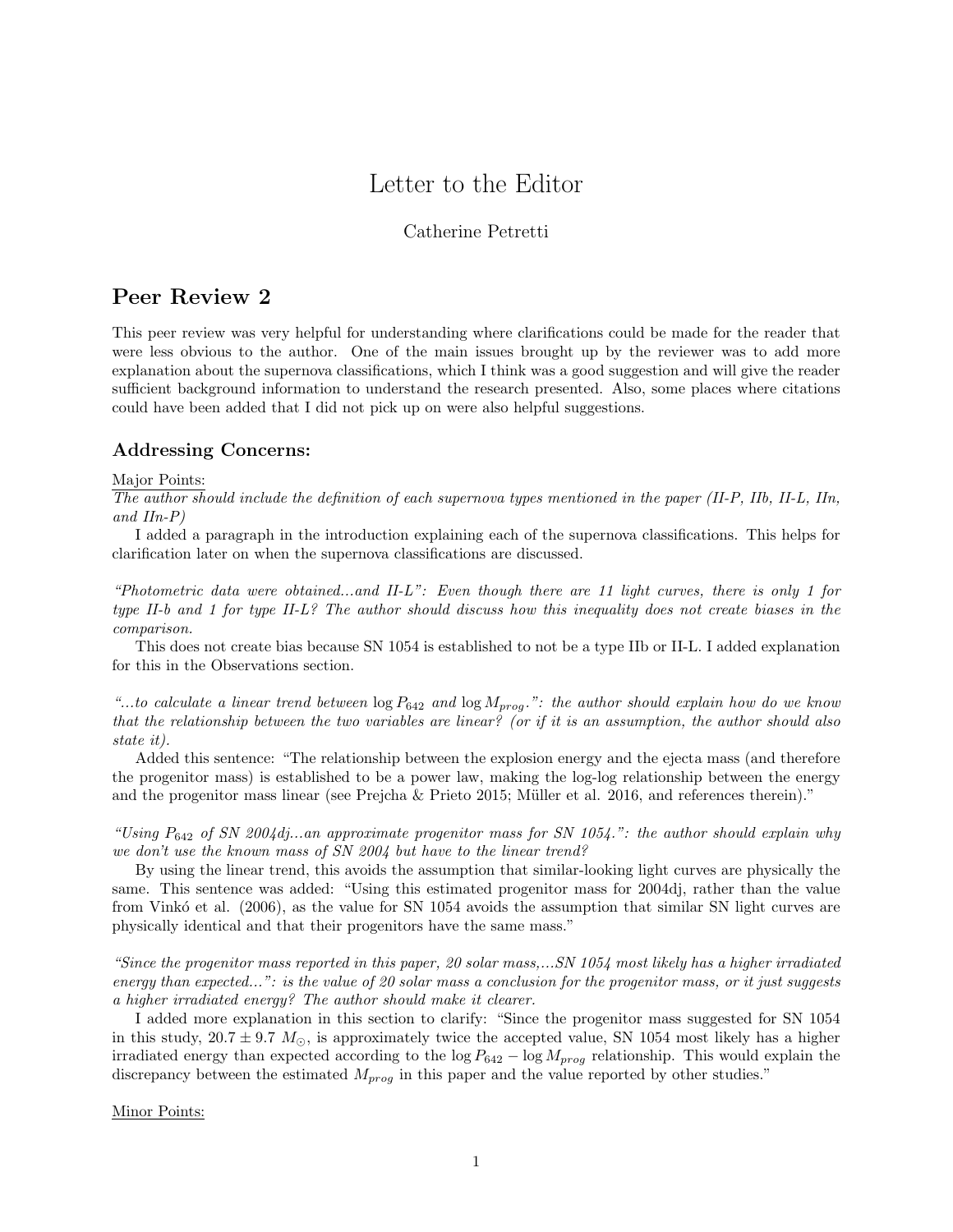# Letter to the Editor

## Catherine Petretti

## Peer Review 2

This peer review was very helpful for understanding where clarifications could be made for the reader that were less obvious to the author. One of the main issues brought up by the reviewer was to add more explanation about the supernova classifications, which I think was a good suggestion and will give the reader sufficient background information to understand the research presented. Also, some places where citations could have been added that I did not pick up on were also helpful suggestions.

## Addressing Concerns:

#### Major Points:

The author should include the definition of each supernova types mentioned in the paper (II-P, IIb, II-L, IIn, and  $IIn-P$ )

I added a paragraph in the introduction explaining each of the supernova classifications. This helps for clarification later on when the supernova classifications are discussed.

"Photometric data were obtained...and II-L": Even though there are 11 light curves, there is only 1 for type II-b and 1 for type II-L? The author should discuss how this inequality does not create biases in the comparison.

This does not create bias because SN 1054 is established to not be a type IIb or II-L. I added explanation for this in the Observations section.

"...to calculate a linear trend between  $\log P_{642}$  and  $\log M_{prog}$ .": the author should explain how do we know that the relationship between the two variables are linear? (or if it is an assumption, the author should also state it).

Added this sentence: "The relationship between the explosion energy and the ejecta mass (and therefore the progenitor mass) is established to be a power law, making the log-log relationship between the energy and the progenitor mass linear (see Prejcha  $&$  Prieto 2015; Müller et al. 2016, and references therein)."

"Using  $P_{642}$  of SN 2004dj...an approximate progenitor mass for SN 1054.": the author should explain why we don't use the known mass of SN 2004 but have to the linear trend?

By using the linear trend, this avoids the assumption that similar-looking light curves are physically the same. This sentence was added: "Using this estimated progenitor mass for 2004dj, rather than the value from Vinkó et al. (2006), as the value for SN 1054 avoids the assumption that similar SN light curves are physically identical and that their progenitors have the same mass."

"Since the progenitor mass reported in this paper, 20 solar mass,...SN 1054 most likely has a higher irradiated energy than expected...": is the value of 20 solar mass a conclusion for the progenitor mass, or it just suggests a higher irradiated energy? The author should make it clearer.

I added more explanation in this section to clarify: "Since the progenitor mass suggested for SN 1054 in this study,  $20.7 \pm 9.7$  M<sub>☉</sub>, is approximately twice the accepted value, SN 1054 most likely has a higher irradiated energy than expected according to the  $\log P_{642} - \log M_{prog}$  relationship. This would explain the discrepancy between the estimated  $M_{prog}$  in this paper and the value reported by other studies."

Minor Points: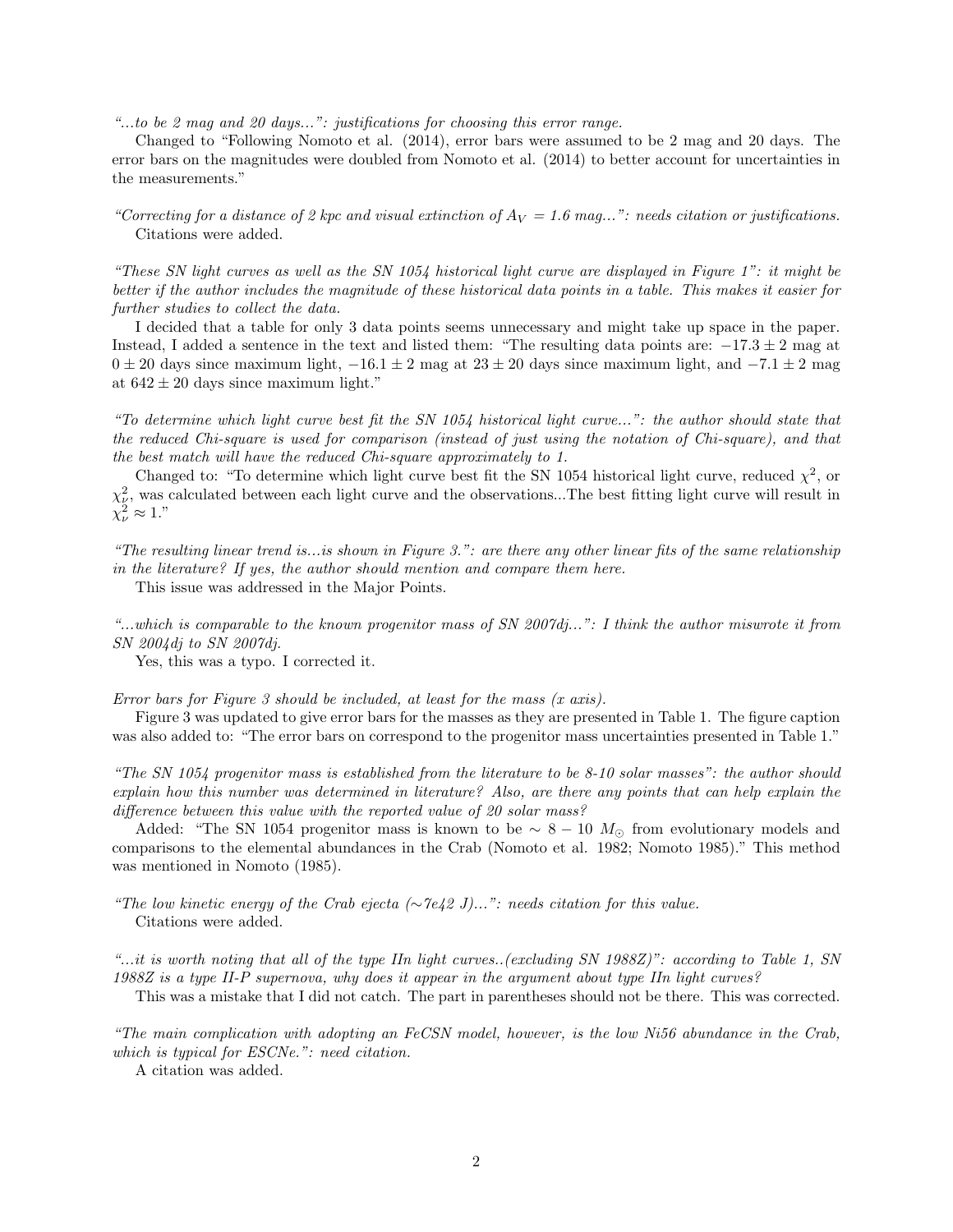"...to be 2 mag and 20 days...": justifications for choosing this error range.

Changed to "Following Nomoto et al. (2014), error bars were assumed to be 2 mag and 20 days. The error bars on the magnitudes were doubled from Nomoto et al. (2014) to better account for uncertainties in the measurements."

"Correcting for a distance of 2 kpc and visual extinction of  $A_V = 1.6$  mag...": needs citation or justifications. Citations were added.

"These SN light curves as well as the SN 1054 historical light curve are displayed in Figure 1": it might be better if the author includes the magnitude of these historical data points in a table. This makes it easier for further studies to collect the data.

I decided that a table for only 3 data points seems unnecessary and might take up space in the paper. Instead, I added a sentence in the text and listed them: "The resulting data points are:  $-17.3 \pm 2$  mag at  $0 \pm 20$  days since maximum light,  $-16.1 \pm 2$  mag at  $23 \pm 20$  days since maximum light, and  $-7.1 \pm 2$  mag at  $642 \pm 20$  days since maximum light."

"To determine which light curve best fit the SN 1054 historical light curve...": the author should state that the reduced Chi-square is used for comparison (instead of just using the notation of Chi-square), and that the best match will have the reduced Chi-square approximately to 1.

Changed to: "To determine which light curve best fit the SN 1054 historical light curve, reduced  $\chi^2$ , or  $\chi^2_{\nu}$ , was calculated between each light curve and the observations...The best fitting light curve will result in  $\chi^2_{\nu} \approx 1."$ 

"The resulting linear trend is...is shown in Figure 3.": are there any other linear fits of the same relationship in the literature? If yes, the author should mention and compare them here.

This issue was addressed in the Major Points.

"...which is comparable to the known progenitor mass of SN 2007dj...": I think the author miswrote it from SN 2004dj to SN 2007dj.

Yes, this was a typo. I corrected it.

Error bars for Figure 3 should be included, at least for the mass (x axis).

Figure 3 was updated to give error bars for the masses as they are presented in Table 1. The figure caption was also added to: "The error bars on correspond to the progenitor mass uncertainties presented in Table 1."

"The SN 1054 progenitor mass is established from the literature to be 8-10 solar masses": the author should explain how this number was determined in literature? Also, are there any points that can help explain the difference between this value with the reported value of 20 solar mass?

Added: "The SN 1054 progenitor mass is known to be  $\sim 8 - 10$  M<sub>☉</sub> from evolutionary models and comparisons to the elemental abundances in the Crab (Nomoto et al. 1982; Nomoto 1985)." This method was mentioned in Nomoto (1985).

"The low kinetic energy of the Crab ejecta ( $\sim$ 7e42 J)...": needs citation for this value. Citations were added.

"...it is worth noting that all of the type IIn light curves..(excluding SN 1988Z)": according to Table 1, SN 1988Z is a type II-P supernova, why does it appear in the argument about type IIn light curves?

This was a mistake that I did not catch. The part in parentheses should not be there. This was corrected.

"The main complication with adopting an FeCSN model, however, is the low Ni56 abundance in the Crab, which is typical for ESCNe.": need citation.

A citation was added.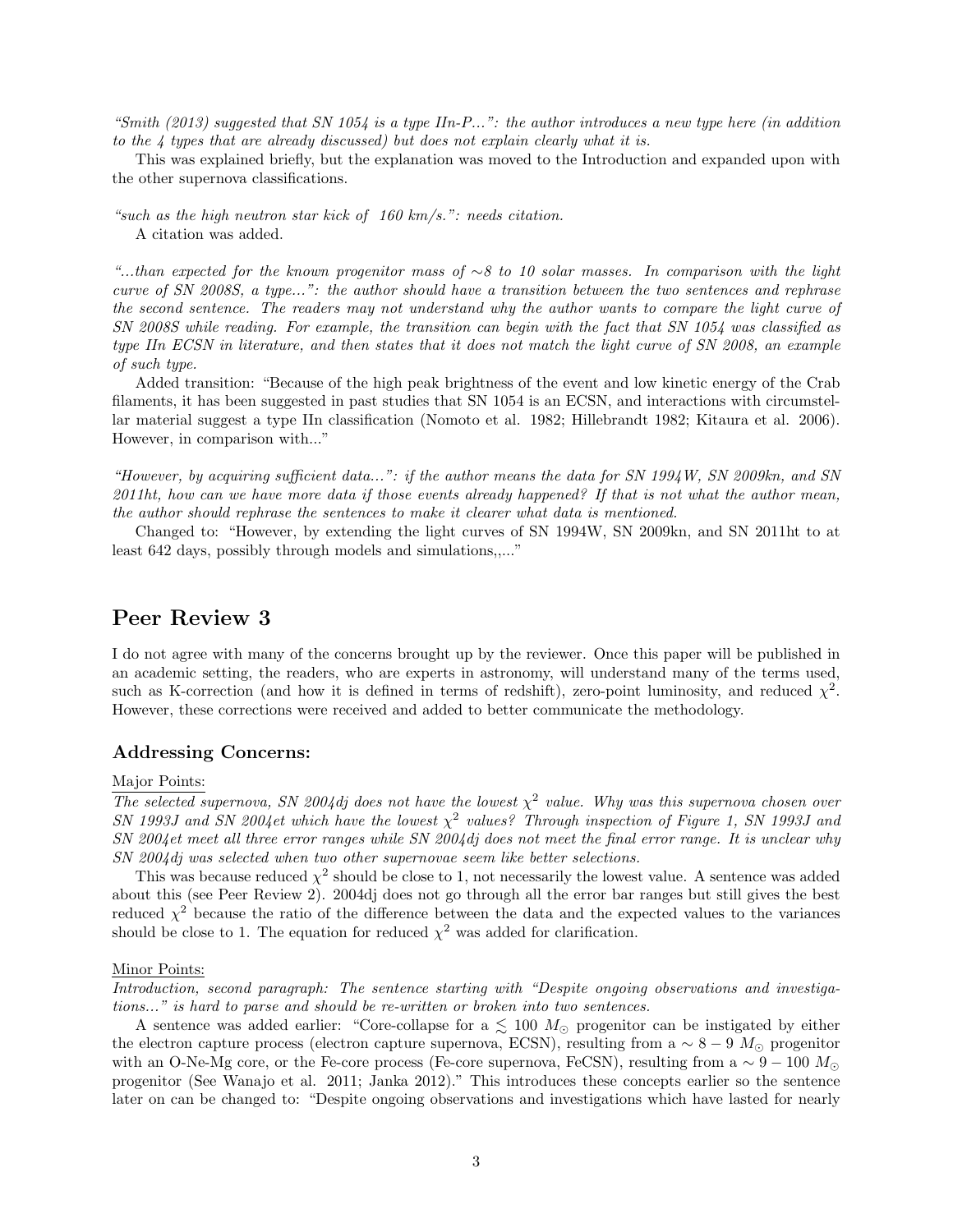"Smith  $(2013)$  suggested that SN 1054 is a type IIn-P...": the author introduces a new type here (in addition to the 4 types that are already discussed) but does not explain clearly what it is.

This was explained briefly, but the explanation was moved to the Introduction and expanded upon with the other supernova classifications.

"such as the high neutron star kick of 160 km/s.": needs citation. A citation was added.

"...than expected for the known progenitor mass of ∼8 to 10 solar masses. In comparison with the light curve of SN 2008S, a type...": the author should have a transition between the two sentences and rephrase the second sentence. The readers may not understand why the author wants to compare the light curve of SN 2008S while reading. For example, the transition can begin with the fact that SN 1054 was classified as type IIn ECSN in literature, and then states that it does not match the light curve of SN 2008, an example of such type.

Added transition: "Because of the high peak brightness of the event and low kinetic energy of the Crab filaments, it has been suggested in past studies that SN 1054 is an ECSN, and interactions with circumstellar material suggest a type IIn classification (Nomoto et al. 1982; Hillebrandt 1982; Kitaura et al. 2006). However, in comparison with..."

"However, by acquiring sufficient data...": if the author means the data for SN 1994W, SN 2009kn, and SN 2011ht, how can we have more data if those events already happened? If that is not what the author mean, the author should rephrase the sentences to make it clearer what data is mentioned.

Changed to: "However, by extending the light curves of SN 1994W, SN 2009kn, and SN 2011ht to at least 642 days, possibly through models and simulations,,..."

## Peer Review 3

I do not agree with many of the concerns brought up by the reviewer. Once this paper will be published in an academic setting, the readers, who are experts in astronomy, will understand many of the terms used, such as K-correction (and how it is defined in terms of redshift), zero-point luminosity, and reduced  $\chi^2$ . However, these corrections were received and added to better communicate the methodology.

#### Addressing Concerns:

### Major Points:

The selected supernova, SN 2004dj does not have the lowest  $\chi^2$  value. Why was this supernova chosen over SN 1993J and SN 2004et which have the lowest  $\chi^2$  values? Through inspection of Figure 1, SN 1993J and SN 2004et meet all three error ranges while SN 2004dj does not meet the final error range. It is unclear why SN 2004dj was selected when two other supernovae seem like better selections.

This was because reduced  $\chi^2$  should be close to 1, not necessarily the lowest value. A sentence was added about this (see Peer Review 2). 2004dj does not go through all the error bar ranges but still gives the best reduced  $\chi^2$  because the ratio of the difference between the data and the expected values to the variances should be close to 1. The equation for reduced  $\chi^2$  was added for clarification.

#### Minor Points:

Introduction, second paragraph: The sentence starting with "Despite ongoing observations and investigations..." is hard to parse and should be re-written or broken into two sentences.

A sentence was added earlier: "Core-collapse for a  $\lesssim 100$   $M_{\odot}$  progenitor can be instigated by either the electron capture process (electron capture supernova, ECSN), resulting from a  $\sim 8 - 9$  M<sub>☉</sub> progenitor with an O-Ne-Mg core, or the Fe-core process (Fe-core supernova, FeCSN), resulting from a  $\sim 9 - 100 M_{\odot}$ progenitor (See Wanajo et al. 2011; Janka 2012)." This introduces these concepts earlier so the sentence later on can be changed to: "Despite ongoing observations and investigations which have lasted for nearly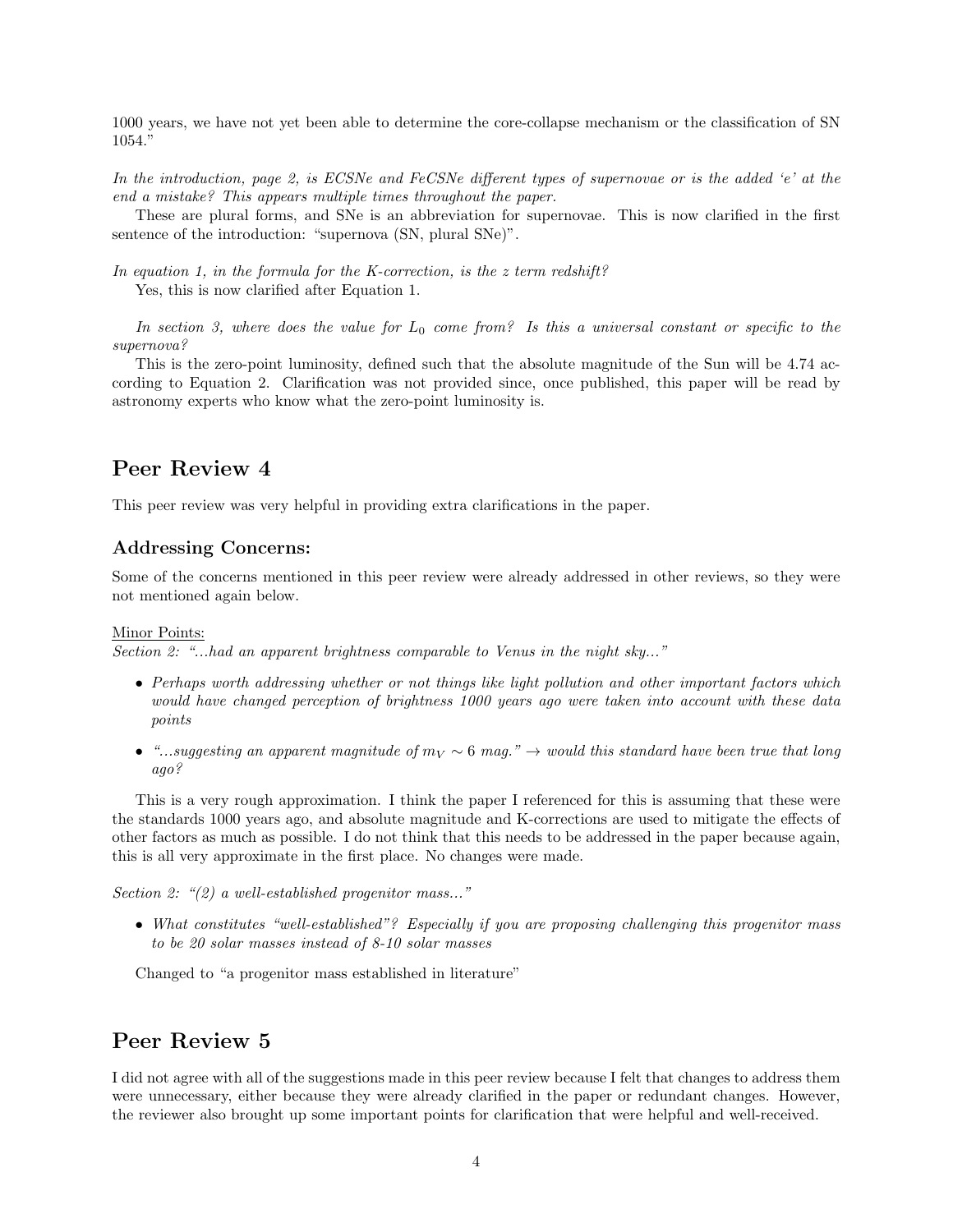1000 years, we have not yet been able to determine the core-collapse mechanism or the classification of SN 1054."

In the introduction, page 2, is ECSNe and FeCSNe different types of supernovae or is the added 'e' at the end a mistake? This appears multiple times throughout the paper.

These are plural forms, and SNe is an abbreviation for supernovae. This is now clarified in the first sentence of the introduction: "supernova  $(SN,$  plural  $SNe$ ".

In equation 1, in the formula for the K-correction, is the  $z$  term redshift? Yes, this is now clarified after Equation 1.

In section 3, where does the value for  $L_0$  come from? Is this a universal constant or specific to the supernova?

This is the zero-point luminosity, defined such that the absolute magnitude of the Sun will be 4.74 according to Equation 2. Clarification was not provided since, once published, this paper will be read by astronomy experts who know what the zero-point luminosity is.

## Peer Review 4

This peer review was very helpful in providing extra clarifications in the paper.

### Addressing Concerns:

Some of the concerns mentioned in this peer review were already addressed in other reviews, so they were not mentioned again below.

#### Minor Points:

Section 2: "...had an apparent brightness comparable to Venus in the night sky..."

- Perhaps worth addressing whether or not things like light pollution and other important factors which would have changed perception of brightness 1000 years ago were taken into account with these data points
- "...suggesting an apparent magnitude of  $m_V \sim 6$  mag."  $\rightarrow$  would this standard have been true that long ago?

This is a very rough approximation. I think the paper I referenced for this is assuming that these were the standards 1000 years ago, and absolute magnitude and K-corrections are used to mitigate the effects of other factors as much as possible. I do not think that this needs to be addressed in the paper because again, this is all very approximate in the first place. No changes were made.

Section 2: "(2) a well-established progenitor mass..."

• What constitutes "well-established"? Especially if you are proposing challenging this progenitor mass to be 20 solar masses instead of 8-10 solar masses

Changed to "a progenitor mass established in literature"

## Peer Review 5

I did not agree with all of the suggestions made in this peer review because I felt that changes to address them were unnecessary, either because they were already clarified in the paper or redundant changes. However, the reviewer also brought up some important points for clarification that were helpful and well-received.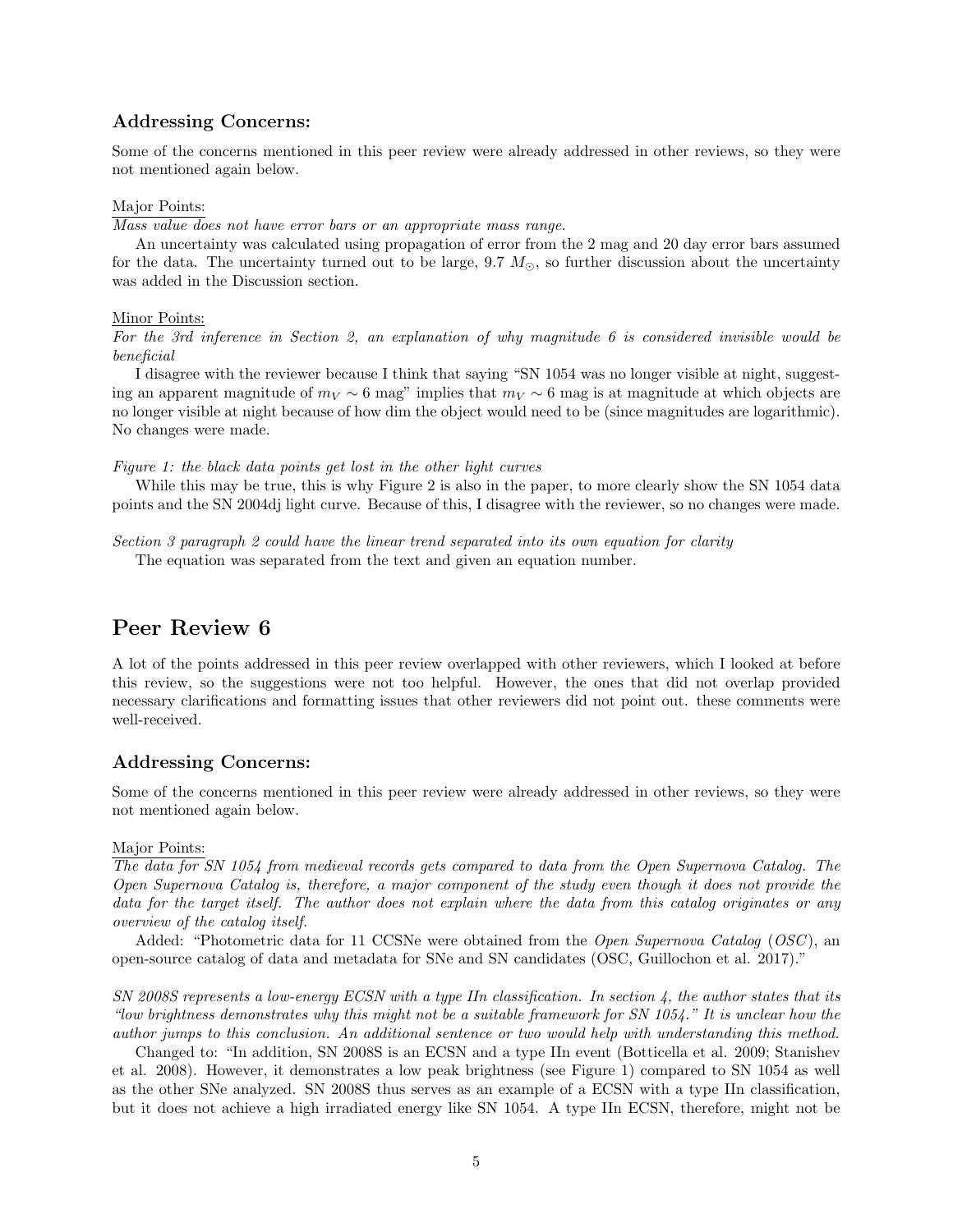### Addressing Concerns:

Some of the concerns mentioned in this peer review were already addressed in other reviews, so they were not mentioned again below.

#### Major Points:

Mass value does not have error bars or an appropriate mass range.

An uncertainty was calculated using propagation of error from the 2 mag and 20 day error bars assumed for the data. The uncertainty turned out to be large, 9.7  $M_{\odot}$ , so further discussion about the uncertainty was added in the Discussion section.

#### Minor Points:

For the 3rd inference in Section 2, an explanation of why magnitude 6 is considered invisible would be beneficial

I disagree with the reviewer because I think that saying "SN 1054 was no longer visible at night, suggesting an apparent magnitude of  $m_V \sim 6$  mag" implies that  $m_V \sim 6$  mag is at magnitude at which objects are no longer visible at night because of how dim the object would need to be (since magnitudes are logarithmic). No changes were made.

Figure 1: the black data points get lost in the other light curves

While this may be true, this is why Figure 2 is also in the paper, to more clearly show the SN 1054 data points and the SN 2004dj light curve. Because of this, I disagree with the reviewer, so no changes were made.

Section 3 paragraph 2 could have the linear trend separated into its own equation for clarity The equation was separated from the text and given an equation number.

## Peer Review 6

A lot of the points addressed in this peer review overlapped with other reviewers, which I looked at before this review, so the suggestions were not too helpful. However, the ones that did not overlap provided necessary clarifications and formatting issues that other reviewers did not point out. these comments were well-received.

### Addressing Concerns:

Some of the concerns mentioned in this peer review were already addressed in other reviews, so they were not mentioned again below.

#### Major Points:

The data for SN 1054 from medieval records gets compared to data from the Open Supernova Catalog. The Open Supernova Catalog is, therefore, a major component of the study even though it does not provide the data for the target itself. The author does not explain where the data from this catalog originates or any overview of the catalog itself.

Added: "Photometric data for 11 CCSNe were obtained from the *Open Supernova Catalog (OSC)*, an open-source catalog of data and metadata for SNe and SN candidates (OSC, Guillochon et al. 2017)."

SN 2008S represents a low-energy ECSN with a type IIn classification. In section 4, the author states that its "low brightness demonstrates why this might not be a suitable framework for SN 1054." It is unclear how the author jumps to this conclusion. An additional sentence or two would help with understanding this method.

Changed to: "In addition, SN 2008S is an ECSN and a type IIn event (Botticella et al. 2009; Stanishev et al. 2008). However, it demonstrates a low peak brightness (see Figure 1) compared to SN 1054 as well as the other SNe analyzed. SN 2008S thus serves as an example of a ECSN with a type IIn classification, but it does not achieve a high irradiated energy like SN 1054. A type IIn ECSN, therefore, might not be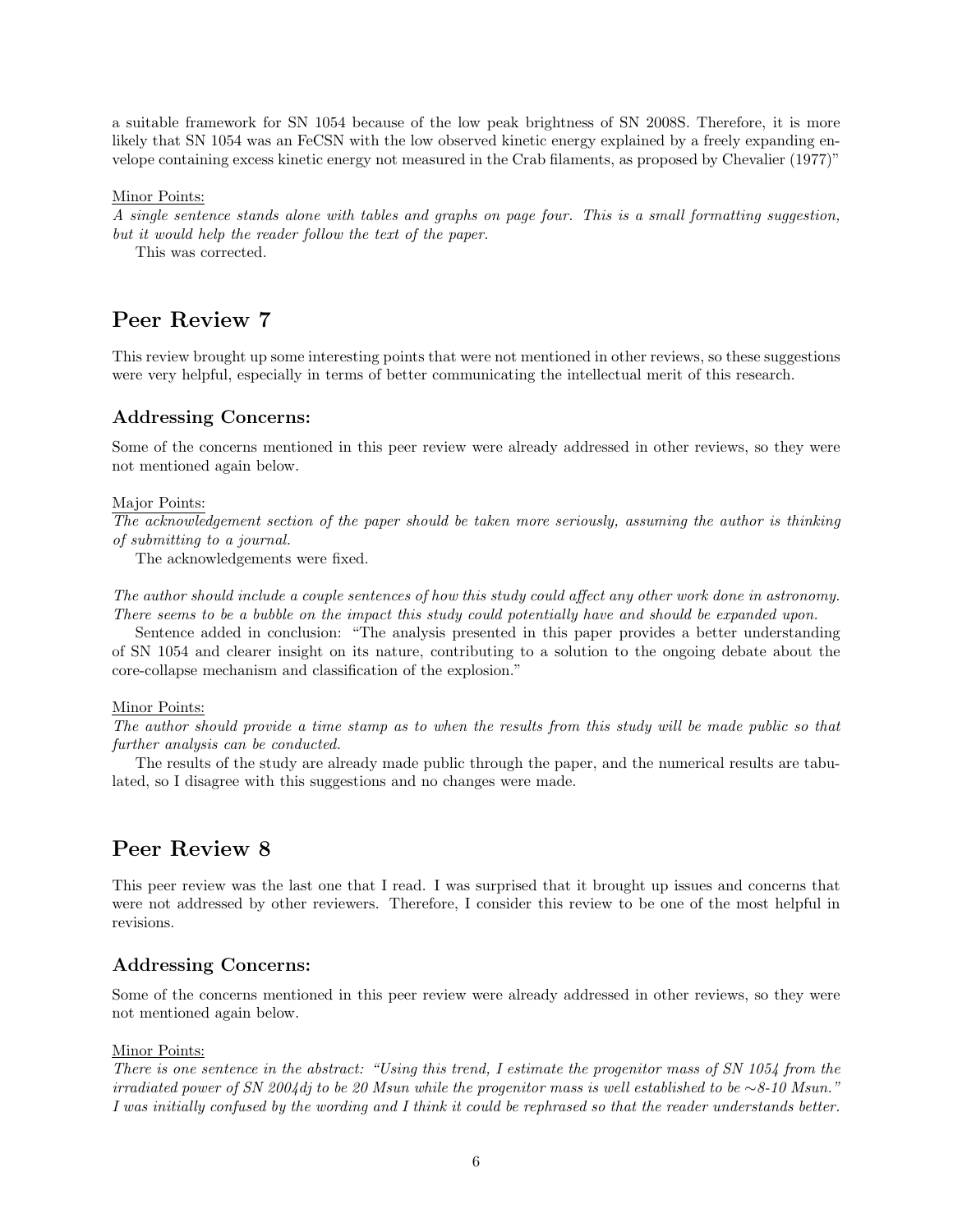a suitable framework for SN 1054 because of the low peak brightness of SN 2008S. Therefore, it is more likely that SN 1054 was an FeCSN with the low observed kinetic energy explained by a freely expanding envelope containing excess kinetic energy not measured in the Crab filaments, as proposed by Chevalier (1977)"

Minor Points:

A single sentence stands alone with tables and graphs on page four. This is a small formatting suggestion, but it would help the reader follow the text of the paper.

This was corrected.

## Peer Review 7

This review brought up some interesting points that were not mentioned in other reviews, so these suggestions were very helpful, especially in terms of better communicating the intellectual merit of this research.

### Addressing Concerns:

Some of the concerns mentioned in this peer review were already addressed in other reviews, so they were not mentioned again below.

#### Major Points:

The acknowledgement section of the paper should be taken more seriously, assuming the author is thinking of submitting to a journal.

The acknowledgements were fixed.

The author should include a couple sentences of how this study could affect any other work done in astronomy. There seems to be a bubble on the impact this study could potentially have and should be expanded upon.

Sentence added in conclusion: "The analysis presented in this paper provides a better understanding of SN 1054 and clearer insight on its nature, contributing to a solution to the ongoing debate about the core-collapse mechanism and classification of the explosion."

#### Minor Points:

The author should provide a time stamp as to when the results from this study will be made public so that further analysis can be conducted.

The results of the study are already made public through the paper, and the numerical results are tabulated, so I disagree with this suggestions and no changes were made.

## Peer Review 8

This peer review was the last one that I read. I was surprised that it brought up issues and concerns that were not addressed by other reviewers. Therefore, I consider this review to be one of the most helpful in revisions.

### Addressing Concerns:

Some of the concerns mentioned in this peer review were already addressed in other reviews, so they were not mentioned again below.

#### Minor Points:

There is one sentence in the abstract: "Using this trend, I estimate the progenitor mass of SN 1054 from the irradiated power of SN 2004dj to be 20 Msun while the progenitor mass is well established to be ∼8-10 Msun." I was initially confused by the wording and I think it could be rephrased so that the reader understands better.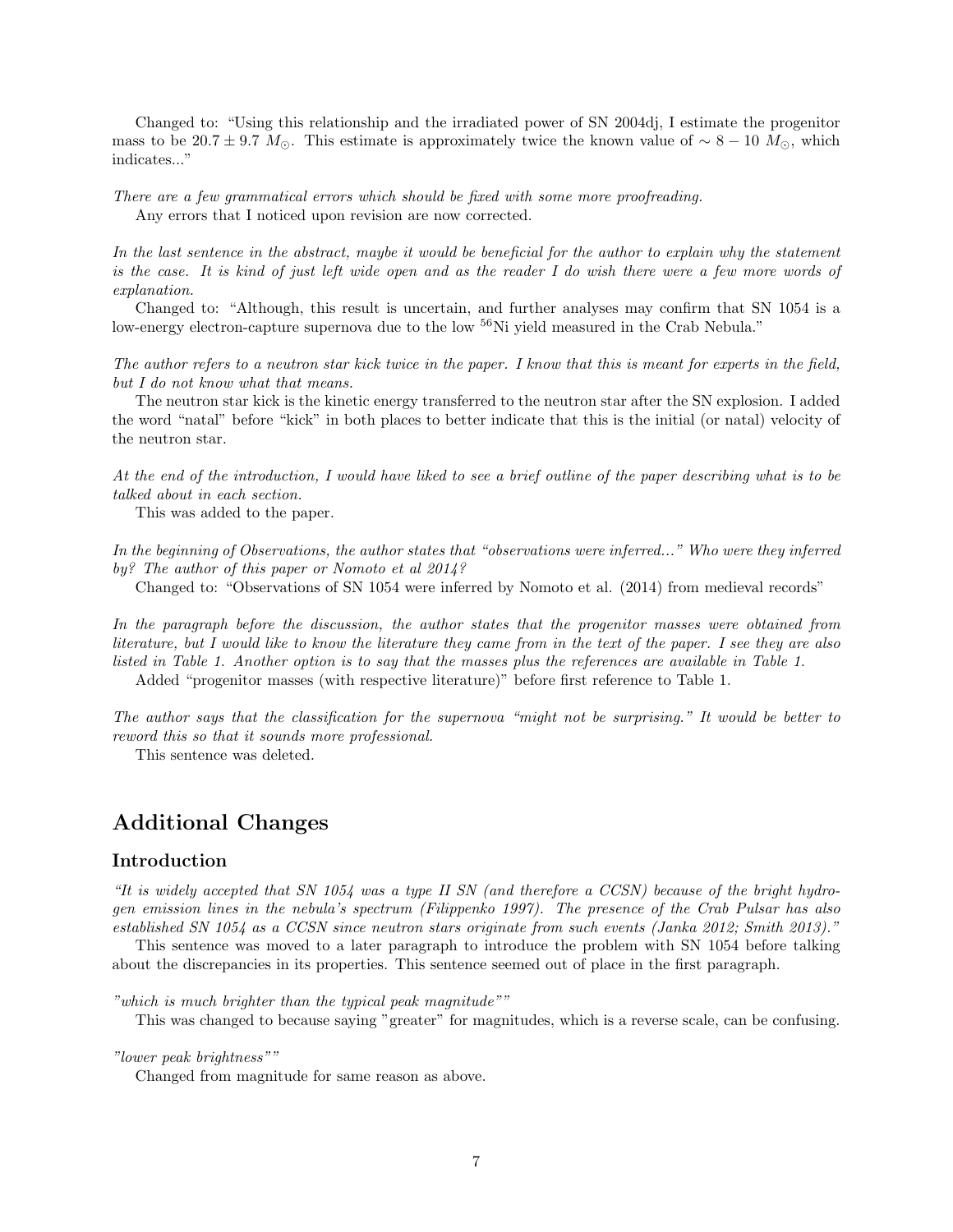Changed to: "Using this relationship and the irradiated power of SN 2004dj, I estimate the progenitor mass to be 20.7 ± 9.7  $M_{\odot}$ . This estimate is approximately twice the known value of ~ 8 − 10  $M_{\odot}$ , which indicates..."

There are a few grammatical errors which should be fixed with some more proofreading. Any errors that I noticed upon revision are now corrected.

In the last sentence in the abstract, maybe it would be beneficial for the author to explain why the statement is the case. It is kind of just left wide open and as the reader I do wish there were a few more words of explanation.

Changed to: "Although, this result is uncertain, and further analyses may confirm that SN 1054 is a low-energy electron-capture supernova due to the low <sup>56</sup>Ni yield measured in the Crab Nebula."

The author refers to a neutron star kick twice in the paper. I know that this is meant for experts in the field, but I do not know what that means.

The neutron star kick is the kinetic energy transferred to the neutron star after the SN explosion. I added the word "natal" before "kick" in both places to better indicate that this is the initial (or natal) velocity of the neutron star.

At the end of the introduction, I would have liked to see a brief outline of the paper describing what is to be talked about in each section.

This was added to the paper.

In the beginning of Observations, the author states that "observations were inferred..." Who were they inferred by? The author of this paper or Nomoto et al 2014?

Changed to: "Observations of SN 1054 were inferred by Nomoto et al. (2014) from medieval records"

In the paragraph before the discussion, the author states that the progenitor masses were obtained from literature, but I would like to know the literature they came from in the text of the paper. I see they are also listed in Table 1. Another option is to say that the masses plus the references are available in Table 1. Added "progenitor masses (with respective literature)" before first reference to Table 1.

The author says that the classification for the supernova "might not be surprising." It would be better to reword this so that it sounds more professional.

This sentence was deleted.

## Additional Changes

#### Introduction

"It is widely accepted that SN 1054 was a type II SN (and therefore a CCSN) because of the bright hydrogen emission lines in the nebula's spectrum (Filippenko 1997). The presence of the Crab Pulsar has also established SN 1054 as a CCSN since neutron stars originate from such events (Janka 2012; Smith 2013)."

This sentence was moved to a later paragraph to introduce the problem with SN 1054 before talking about the discrepancies in its properties. This sentence seemed out of place in the first paragraph.

"which is much brighter than the typical peak magnitude""

This was changed to because saying "greater" for magnitudes, which is a reverse scale, can be confusing.

"lower peak brightness""

Changed from magnitude for same reason as above.